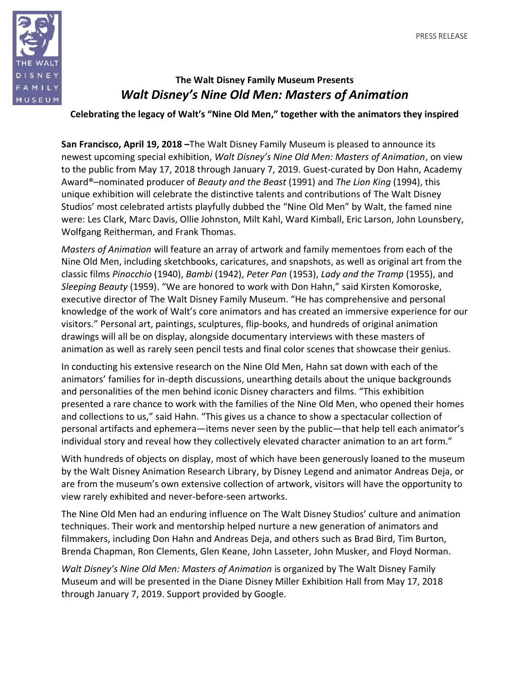

## **The Walt Disney Family Museum Presents** *Walt Disney's Nine Old Men: Masters of Animation*

**Celebrating the legacy of Walt's "Nine Old Men," together with the animators they inspired**

**San Francisco, April 19, 2018 –**The Walt Disney Family Museum is pleased to announce its newest upcoming special exhibition, *Walt Disney's Nine Old Men: Masters of Animation*, on view to the public from May 17, 2018 through January 7, 2019. Guest-curated by Don Hahn, Academy Award®–nominated producer of *Beauty and the Beast* (1991) and *The Lion King* (1994), this unique exhibition will celebrate the distinctive talents and contributions of The Walt Disney Studios' most celebrated artists playfully dubbed the "Nine Old Men" by Walt, the famed nine were: Les Clark, Marc Davis, Ollie Johnston, Milt Kahl, Ward Kimball, Eric Larson, John Lounsbery, Wolfgang Reitherman, and Frank Thomas.

*Masters of Animation* will feature an array of artwork and family mementoes from each of the Nine Old Men, including sketchbooks, caricatures, and snapshots, as well as original art from the classic films *Pinocchio* (1940), *Bambi* (1942), *Peter Pan* (1953), *Lady and the Tramp* (1955), and *Sleeping Beauty* (1959). "We are honored to work with Don Hahn," said Kirsten Komoroske, executive director of The Walt Disney Family Museum. "He has comprehensive and personal knowledge of the work of Walt's core animators and has created an immersive experience for our visitors." Personal art, paintings, sculptures, flip-books, and hundreds of original animation drawings will all be on display, alongside documentary interviews with these masters of animation as well as rarely seen pencil tests and final color scenes that showcase their genius.

In conducting his extensive research on the Nine Old Men, Hahn sat down with each of the animators' families for in-depth discussions, unearthing details about the unique backgrounds and personalities of the men behind iconic Disney characters and films. "This exhibition presented a rare chance to work with the families of the Nine Old Men, who opened their homes and collections to us," said Hahn. "This gives us a chance to show a spectacular collection of personal artifacts and ephemera—items never seen by the public—that help tell each animator's individual story and reveal how they collectively elevated character animation to an art form."

With hundreds of objects on display, most of which have been generously loaned to the museum by the Walt Disney Animation Research Library, by Disney Legend and animator Andreas Deja, or are from the museum's own extensive collection of artwork, visitors will have the opportunity to view rarely exhibited and never-before-seen artworks.

The Nine Old Men had an enduring influence on The Walt Disney Studios' culture and animation techniques. Their work and mentorship helped nurture a new generation of animators and filmmakers, including Don Hahn and Andreas Deja, and others such as Brad Bird, Tim Burton, Brenda Chapman, Ron Clements, Glen Keane, John Lasseter, John Musker, and Floyd Norman.

*Walt Disney's Nine Old Men: Masters of Animation* is organized by The Walt Disney Family Museum and will be presented in the Diane Disney Miller Exhibition Hall from May 17, 2018 through January 7, 2019. Support provided by Google.